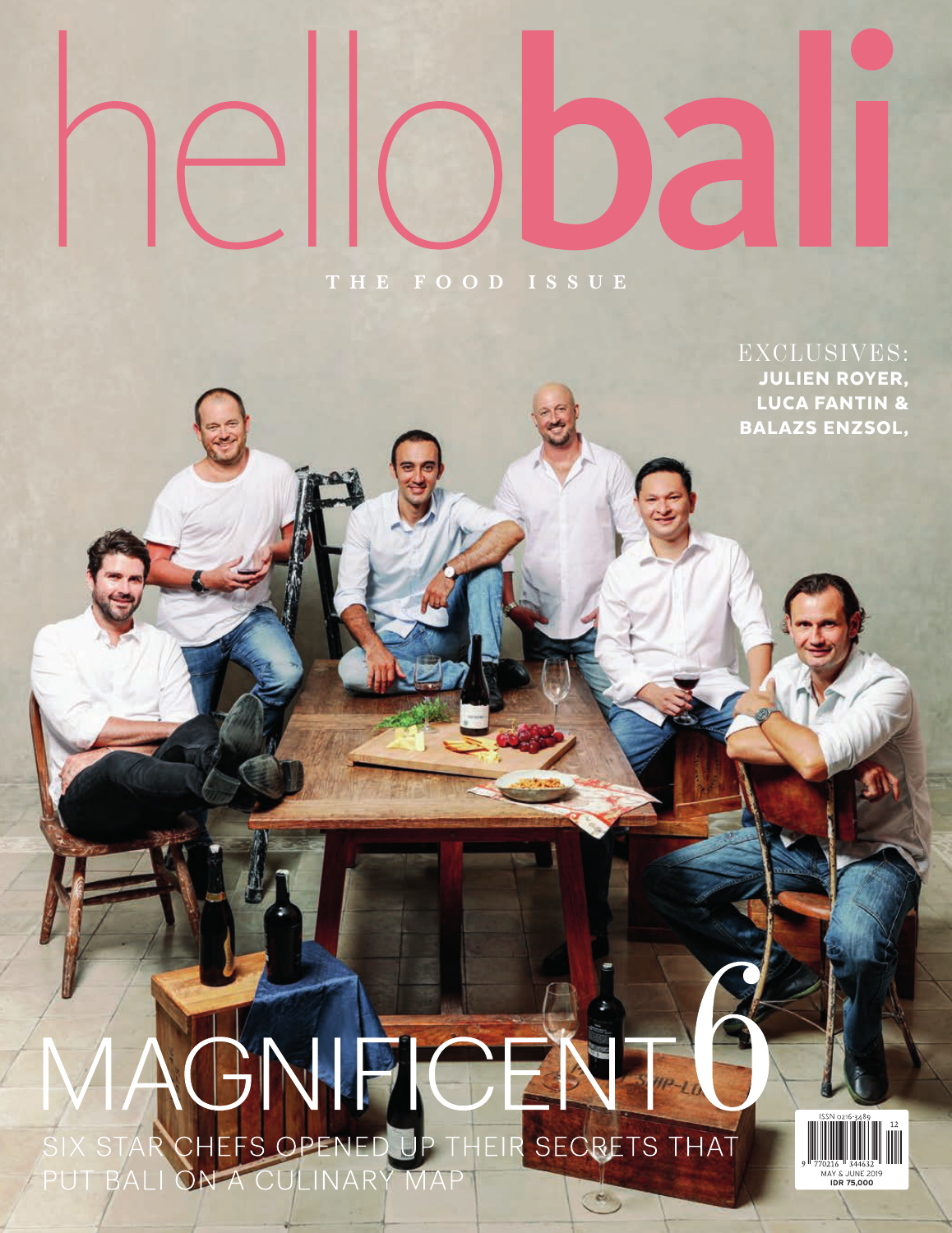## **THE FOOD ISSUE**

EXCLUSIVES: JULIEN ROYER, LUCA FANTIN & BALAZS ENZSOL,

## IPIC  $P - L$ EFS OPENED UP THEIR SECRETS THAT SIX STAR CH **PUT BALI** CULINARY MAP ON  $\epsilon$